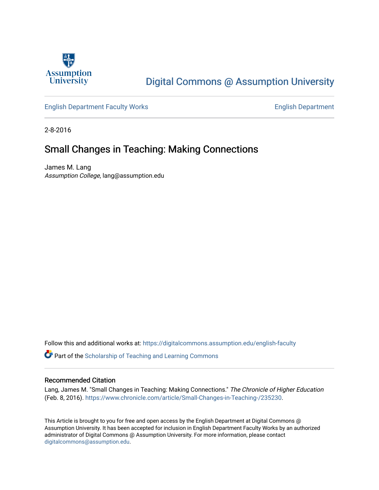

## [Digital Commons @ Assumption University](https://digitalcommons.assumption.edu/)

#### [English Department Faculty Works](https://digitalcommons.assumption.edu/english-faculty) **English Department**

2-8-2016

### Small Changes in Teaching: Making Connections

James M. Lang Assumption College, lang@assumption.edu

Follow this and additional works at: [https://digitalcommons.assumption.edu/english-faculty](https://digitalcommons.assumption.edu/english-faculty?utm_source=digitalcommons.assumption.edu%2Fenglish-faculty%2F7&utm_medium=PDF&utm_campaign=PDFCoverPages) 

**P** Part of the Scholarship of Teaching and Learning Commons

#### Recommended Citation

Lang, James M. "Small Changes in Teaching: Making Connections." The Chronicle of Higher Education (Feb. 8, 2016). <https://www.chronicle.com/article/Small-Changes-in-Teaching-/235230>.

This Article is brought to you for free and open access by the English Department at Digital Commons @ Assumption University. It has been accepted for inclusion in English Department Faculty Works by an authorized administrator of Digital Commons @ Assumption University. For more information, please contact [digitalcommons@assumption.edu](mailto:digitalcommons@assumption.edu).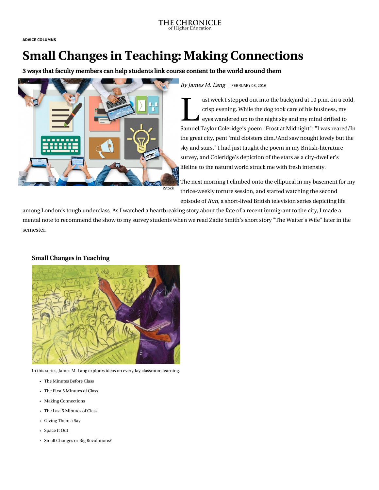ADVICE [COLUMNS](https://www.chronicle.com/section/Advice-Columns/144)

# Small Changes in Teaching: Making Connections

3 ways that faculty members can help students link course content to the world around them



By James M. Lang FEBRUARY 08, 2016

 $\begin{array}{c} \mathbf{1} \end{array}$  ast we crisp  $\epsilon$ ast week I stepped out into the backyard at 10 p.m. on a cold, crisp evening. While the dog took care of his business, my eyes wandered up to the night sky and my mind drifted to Samuel Taylor Coleridge's poem ["Frost at Midnight"](http://www.poetryfoundation.org/poem/173242): "I was reared/In the great city, pent 'mid cloisters dim,/And saw nought lovely but the sky and stars." I had just taught the poem in my British-literature survey, and Coleridge's depiction of the stars as a city-dweller's lifeline to the natural world struck me with fresh intensity.

The next morning I climbed onto the elliptical in my basement for my thrice-weekly torture session, and started watching the second episode of [Run](http://www.imdb.com/title/tt2297604/), a short-lived British television series depicting life

among London's tough underclass. As I watched a heartbreaking story about the fate of a recent immigrant to the city, I made a mental note to recommend the show to my survey students when we read Zadie Smith's short story "The Waiter's Wife" later in the semester.

#### Small Changes in Teaching



In this series, James M. Lang explores ideas on everyday classroom learning.

- [The Minutes Before Class](https://www.chronicle.com/article/Small-Changes-in-Teaching-The/234178/)
- [The First 5 Minutes of Class](https://www.chronicle.com/article/Small-Changes-in-Teaching-The/234869/)
- [Making Connections](https://www.chronicle.com/article/Small-Changes-in-Teaching-/235230/)
- [The Last 5 Minutes of Class](https://www.chronicle.com/article/Small-Changes-in-Teaching-The/235583/)
- [Giving Them a Say](https://www.chronicle.com/article/Small-Changes-in-Teaching-/235918/)
- [Space It Out](https://www.chronicle.com/article/Small-Changes-in-Teaching-/236479/)
- [Small Changes or Big Revolutions?](https://www.chronicle.com/article/Small-Changes-or-Big/236839/)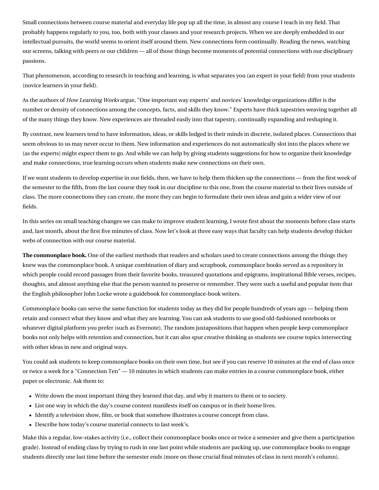Small connections between course material and everyday life pop up all the time, in almost any course I teach in my field. That probably happens regularly to you, too, both with your classes and your research projects. When we are deeply embedded in our intellectual pursuits, the world seems to orient itself around them. New connections form continually. Reading the news, watching our screens, talking with peers or our children — all of those things become moments of potential connections with our disciplinary passions.

That phenomenon, according to research in teaching and learning, is what separates you (an expert in your field) from your students (novice learners in your field).

As the authors of [How Learning Works](http://www.wiley.com/WileyCDA/WileyTitle/productCd-0470484101.html) argue, "One important way experts' and novices' knowledge organizations differ is the number or density of connections among the concepts, facts, and skills they know." Experts have thick tapestries weaving together all of the many things they know. New experiences are threaded easily into that tapestry, continually expanding and reshaping it.

By contrast, new learners tend to have information, ideas, or skills lodged in their minds in discrete, isolated places. Connections that seem obvious to us may never occur to them. New information and experiences do not automatically slot into the places where we (as the experts) might expect them to go. And while we can help by giving students suggestions for how to organize their knowledge and make connections, true learning occurs when students make new connections on their own.

If we want students to develop expertise in our fields, then, we have to help them thicken up the connections — from the first week of the semester to the fifth, from the last course they took in our discipline to this one, from the course material to their lives outside of class. The more connections they can create, the more they can begin to formulate their own ideas and gain a wider view of our fields.

In this series on small teaching changes we can make to improve student learning, I wrote first about the [moments before class starts](http://chronicle.com/article/Small-Changes-in-Teaching-The/234178) and, last month, about the [first five minutes](http://chronicle.com/article/Small-Changes-in-Teaching-The/234869) of class. Now let's look at three easy ways that faculty can help students develop thicker webs of connection with our course material.

The commonplace book. One of the earliest methods that readers and scholars used to create connections among the things they knew was the commonplace book. A unique [combination of diary and scrapbook,](https://en.wikipedia.org/wiki/Commonplace_book) commonplace books served as a repository in which people could record passages from their favorite books, treasured quotations and epigrams, inspirational Bible verses, recipes, thoughts, and almost anything else that the person wanted to preserve or remember. They were such a useful and popular item that the English philosopher [John Locke wrote a guidebook](http://pds.lib.harvard.edu/pds/view/13925922?n=5&imagesize=1200&jp2Res=.25&printThumbnails=no) for commonplace-book writers.

Commonplace books can serve the same function for students today as they did for people hundreds of years ago — helping them retain and connect what they know and what they are learning. You can ask students to use good old-fashioned notebooks or whatever digital platform you prefer (such as Evernote). The random juxtapositions that happen when people keep commonplace books not only helps with retention and connection, but it can also spur creative thinking as students see course topics intersecting with other ideas in new and original ways.

You could ask students to keep commonplace books on their own time, but see if you can reserve 10 minutes at the end of class once or twice a week for a "Connection Ten" — 10 minutes in which students can make entries in a course commonplace book, either paper or electronic. Ask them to:

- Write down the most important thing they learned that day, and why it matters to them or to society.
- List one way in which the day's course content manifests itself on campus or in their home lives.
- Identify a television show, film, or book that somehow illustrates a course concept from class.
- Describe how today's course material connects to last week's.

Make this a regular, low-stakes activity (i.e., collect their commonplace books once or twice a semester and give them a participation grade). Instead of ending class by trying to rush in one last point while students are packing up, use commonplace books to engage students directly one last time before the semester ends (more on those crucial final minutes of class in next month's column).